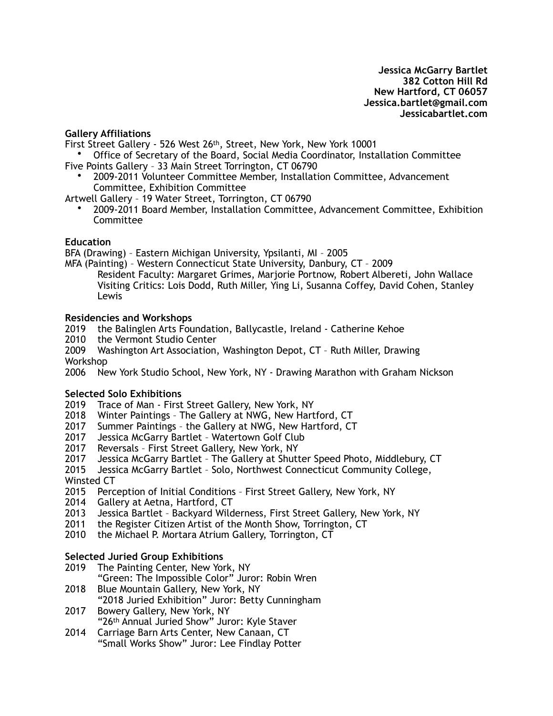#### **Gallery Affiliations**

First Street Gallery - 526 West 26th, Street, New York, New York 10001

• Office of Secretary of the Board, Social Media Coordinator, Installation Committee Five Points Gallery – 33 Main Street Torrington, CT 06790

• 2009-2011 Volunteer Committee Member, Installation Committee, Advancement Committee, Exhibition Committee

Artwell Gallery – 19 Water Street, Torrington, CT 06790

• 2009-2011 Board Member, Installation Committee, Advancement Committee, Exhibition Committee

#### **Education**

BFA (Drawing) – Eastern Michigan University, Ypsilanti, MI – 2005

MFA (Painting) – Western Connecticut State University, Danbury, CT – 2009 Resident Faculty: Margaret Grimes, Marjorie Portnow, Robert Albereti, John Wallace Visiting Critics: Lois Dodd, Ruth Miller, Ying Li, Susanna Coffey, David Cohen, Stanley Lewis

#### **Residencies and Workshops**

2019 the Balinglen Arts Foundation, Ballycastle, Ireland - Catherine Kehoe

- 2010 the Vermont Studio Center
- 2009 Washington Art Association, Washington Depot, CT Ruth Miller, Drawing Workshop

2006 New York Studio School, New York, NY - Drawing Marathon with Graham Nickson

### **Selected Solo Exhibitions**

- 2019 Trace of Man First Street Gallery, New York, NY
- 2018 Winter Paintings The Gallery at NWG, New Hartford, CT
- 2017 Summer Paintings the Gallery at NWG, New Hartford, CT
- 2017 Jessica McGarry Bartlet Watertown Golf Club
- 2017 Reversals First Street Gallery, New York, NY<br>2017 Jessica McGarry Bartlet The Gallery at Shutt
- Jessica McGarry Bartlet The Gallery at Shutter Speed Photo, Middlebury, CT

2015 Jessica McGarry Bartlet – Solo, Northwest Connecticut Community College, Winsted CT

- 2015 Perception of Initial Conditions First Street Gallery, New York, NY
- 2014 Gallery at Aetna, Hartford, CT
- 2013 Jessica Bartlet Backyard Wilderness, First Street Gallery, New York, NY
- 2011 the Register Citizen Artist of the Month Show, Torrington, CT
- 2010 the Michael P. Mortara Atrium Gallery, Torrington, CT

### **Selected Juried Group Exhibitions**

- 2019 The Painting Center, New York, NY
	- "Green: The Impossible Color" Juror: Robin Wren
- 2018 Blue Mountain Gallery, New York, NY "2018 Juried Exhibition" Juror: Betty Cunningham
- 2017 Bowery Gallery, New York, NY "26th Annual Juried Show" Juror: Kyle Staver
- 2014 Carriage Barn Arts Center, New Canaan, CT "Small Works Show" Juror: Lee Findlay Potter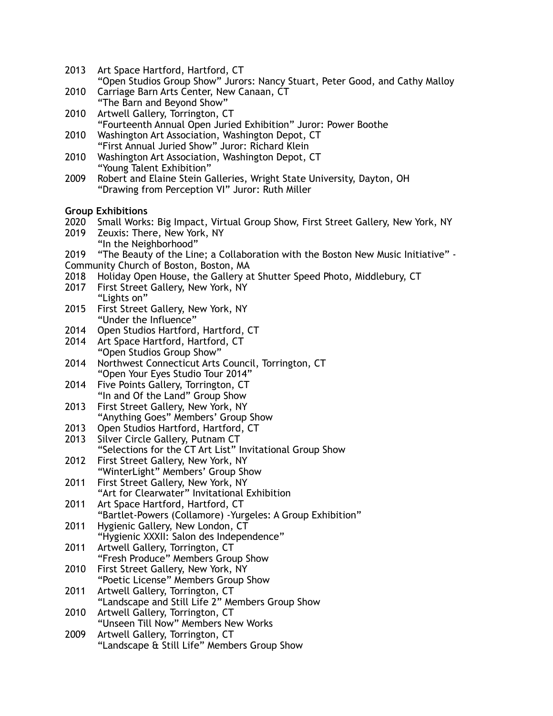- 2013 Art Space Hartford, Hartford, CT "Open Studios Group Show" Jurors: Nancy Stuart, Peter Good, and Cathy Malloy
- 2010 Carriage Barn Arts Center, New Canaan, CT "The Barn and Beyond Show"
- 2010 Artwell Gallery, Torrington, CT "Fourteenth Annual Open Juried Exhibition" Juror: Power Boothe
- 2010 Washington Art Association, Washington Depot, CT "First Annual Juried Show" Juror: Richard Klein
- 2010 Washington Art Association, Washington Depot, CT "Young Talent Exhibition"
- 2009 Robert and Elaine Stein Galleries, Wright State University, Dayton, OH "Drawing from Perception VI" Juror: Ruth Miller

### **Group Exhibitions**

- 2020 Small Works: Big Impact, Virtual Group Show, First Street Gallery, New York, NY 2019 Zeuxis: There, New York, NY
- "In the Neighborhood"
- 2019 "The Beauty of the Line; a Collaboration with the Boston New Music Initiative" -
- Community Church of Boston, Boston, MA
- 2018 Holiday Open House, the Gallery at Shutter Speed Photo, Middlebury, CT
- 2017 First Street Gallery, New York, NY "Lights on"
- 2015 First Street Gallery, New York, NY "Under the Influence"
- 2014 Open Studios Hartford, Hartford, CT
- 2014 Art Space Hartford, Hartford, CT "Open Studios Group Show"
- 2014 Northwest Connecticut Arts Council, Torrington, CT "Open Your Eyes Studio Tour 2014"
- 2014 Five Points Gallery, Torrington, CT "In and Of the Land" Group Show
- 2013 First Street Gallery, New York, NY "Anything Goes" Members' Group Show
- 2013 Open Studios Hartford, Hartford, CT
- 2013 Silver Circle Gallery, Putnam CT "Selections for the CT Art List" Invitational Group Show 2012 First Street Gallery, New York, NY
- "WinterLight" Members' Group Show
- 2011 First Street Gallery, New York, NY "Art for Clearwater" Invitational Exhibition
- 2011 Art Space Hartford, Hartford, CT "Bartlet-Powers (Collamore) -Yurgeles: A Group Exhibition"
- 2011 Hygienic Gallery, New London, CT "Hygienic XXXII: Salon des Independence"
- 2011 Artwell Gallery, Torrington, CT "Fresh Produce" Members Group Show
- 2010 First Street Gallery, New York, NY "Poetic License" Members Group Show
- 2011 Artwell Gallery, Torrington, CT
- "Landscape and Still Life 2" Members Group Show 2010 Artwell Gallery, Torrington, CT
- "Unseen Till Now" Members New Works
- 2009 Artwell Gallery, Torrington, CT "Landscape & Still Life" Members Group Show